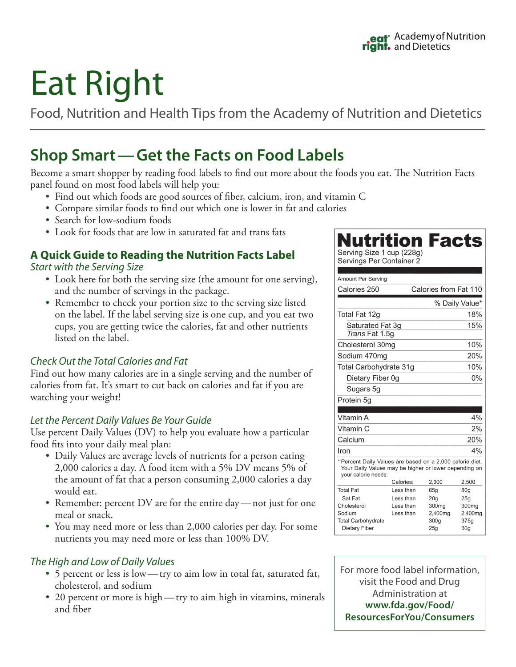# Eat Right

Food, Nutrition and Health Tips from the Academy of Nutrition and Dietetics

## **Shop Smart—Get the Facts on Food Labels**

Become a smart shopper by reading food labels to find out more about the foods you eat. The Nutrition Facts panel found on most food labels will help you:

- Find out which foods are good sources of fiber, calcium, iron, and vitamin C
- Compare similar foods to find out which one is lower in fat and calories
- Search for low-sodium foods
- Look for foods that are low in saturated fat and trans fats

#### **A Quick Guide to Reading the Nutrition Facts Label** *Start with the Serving Size*

- Look here for both the serving size (the amount for one serving), and the number of servings in the package.
- Remember to check your portion size to the serving size listed on the label. If the label serving size is one cup, and you eat two cups, you are getting twice the calories, fat and other nutrients listed on the label.

#### *Check Out the Total Calories and Fat*

Find out how many calories are in a single serving and the number of calories from fat. It's smart to cut back on calories and fat if you are watching your weight!

#### *Let the Percent Daily Values Be Your Guide*

Use percent Daily Values (DV) to help you evaluate how a particular food fits into your daily meal plan:

- Daily Values are average levels of nutrients for a person eating 2,000 calories a day. A food item with a 5% DV means 5% of the amount of fat that a person consuming 2,000 calories a day would eat.
- Remember: percent DV are for the entire day—not just for one meal or snack.
- You may need more or less than 2,000 calories per day. For some nutrients you may need more or less than 100% DV.

#### *The High and Low of Daily Values*

- 5 percent or less is low—try to aim low in total fat, saturated fat, cholesterol, and sodium
- 20 percent or more is high—try to aim high in vitamins, minerals and fiber

### **Nutrition Facts** Serving Size 1 cup (228g)

Servings Per Container 2

| <b>Amount Per Serving</b>                                                                                                                 |            |                                     |                         |
|-------------------------------------------------------------------------------------------------------------------------------------------|------------|-------------------------------------|-------------------------|
| Calories 250                                                                                                                              |            | Calories from Fat 110               |                         |
|                                                                                                                                           |            |                                     | % Daily Value*          |
| Total Fat 12g                                                                                                                             |            |                                     | 18%                     |
| Saturated Fat 3q<br>Trans Fat 1.5q                                                                                                        |            |                                     | 15%                     |
| Cholesterol 30mg                                                                                                                          |            |                                     | 10%                     |
| Sodium 470mg                                                                                                                              |            |                                     | 20%                     |
| Total Carbohydrate 31g                                                                                                                    |            |                                     | 10%                     |
| Dietary Fiber 0g                                                                                                                          |            |                                     | $0\%$                   |
| Sugars 5g                                                                                                                                 |            |                                     |                         |
| Protein 5g                                                                                                                                |            |                                     |                         |
|                                                                                                                                           |            |                                     |                         |
| Vitamin A                                                                                                                                 |            |                                     | 4%                      |
| Vitamin C                                                                                                                                 |            |                                     | 2%                      |
| Calcium                                                                                                                                   |            |                                     | 20%                     |
| Iron                                                                                                                                      |            |                                     | 4%                      |
| * Percent Daily Values are based on a 2,000 calorie diet.<br>Your Daily Values may be higher or lower depending on<br>your calorie needs: | Calories:  | 2,000                               | 2,500                   |
| <b>Total Fat</b>                                                                                                                          | Less than  | 65q                                 | 80q                     |
|                                                                                                                                           | Less than  | 20 <sub>q</sub>                     | 25 <sub>q</sub>         |
| Sat Fat                                                                                                                                   |            |                                     |                         |
| Cholesterol                                                                                                                               | Less than  | 300 <sub>mq</sub>                   | 300 <sub>mq</sub>       |
| Sodium                                                                                                                                    | l ess than | 2,400mg                             | 2,400mg                 |
| <b>Total Carbohydrate</b><br>Dietary Fiber                                                                                                |            | 300 <sub>q</sub><br>25 <sub>a</sub> | 375q<br>30 <sub>q</sub> |

For more food label information, visit the Food and Drug Administration at **www.fda.gov/Food/ ResourcesForYou/Consumers**